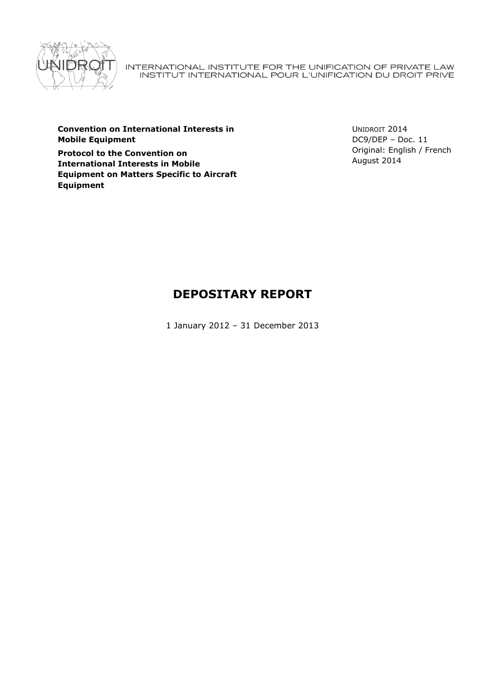

INTERNATIONAL INSTITUTE FOR THE UNIFICATION OF PRIVATE LAW<br>INSTITUT INTERNATIONAL POUR L'UNIFICATION DU DROIT PRIVE

**Convention on International Interests in Mobile Equipment**

**Protocol to the Convention on International Interests in Mobile Equipment on Matters Specific to Aircraft Equipment**

UNIDROIT 2014 DC9/DEP – Doc. 11 Original: English / French August 2014

# **DEPOSITARY REPORT**

1 January 2012 – 31 December 2013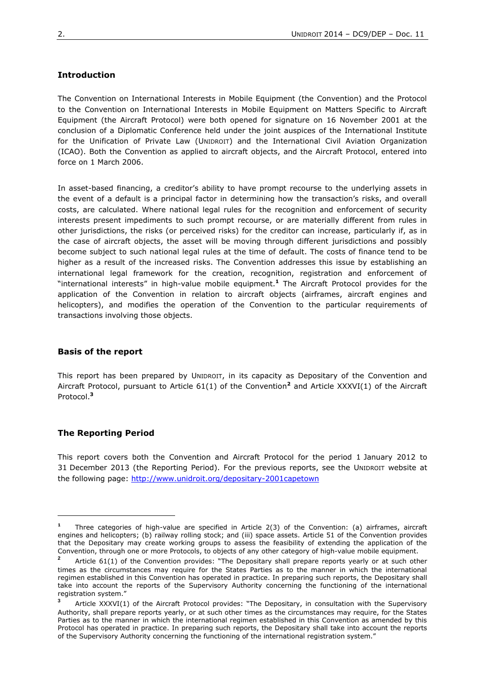# **Introduction**

The Convention on International Interests in Mobile Equipment (the Convention) and the Protocol to the Convention on International Interests in Mobile Equipment on Matters Specific to Aircraft Equipment (the Aircraft Protocol) were both opened for signature on 16 November 2001 at the conclusion of a Diplomatic Conference held under the joint auspices of the International Institute for the Unification of Private Law (UNIDROIT) and the International Civil Aviation Organization (ICAO). Both the Convention as applied to aircraft objects, and the Aircraft Protocol, entered into force on 1 March 2006.

In asset-based financing, a creditor's ability to have prompt recourse to the underlying assets in the event of a default is a principal factor in determining how the transaction's risks, and overall costs, are calculated. Where national legal rules for the recognition and enforcement of security interests present impediments to such prompt recourse, or are materially different from rules in other jurisdictions, the risks (or perceived risks) for the creditor can increase, particularly if, as in the case of aircraft objects, the asset will be moving through different jurisdictions and possibly become subject to such national legal rules at the time of default. The costs of finance tend to be higher as a result of the increased risks. The Convention addresses this issue by establishing an international legal framework for the creation, recognition, registration and enforcement of "international interests" in high-value mobile equipment.**<sup>1</sup>** The Aircraft Protocol provides for the application of the Convention in relation to aircraft objects (airframes, aircraft engines and helicopters), and modifies the operation of the Convention to the particular requirements of transactions involving those objects.

# **Basis of the report**

This report has been prepared by UNIDROIT, in its capacity as Depositary of the Convention and Aircraft Protocol, pursuant to Article 61(1) of the Convention**<sup>2</sup>** and Article XXXVI(1) of the Aircraft Protocol.**<sup>3</sup>**

## **The Reporting Period**

 $\overline{a}$ 

This report covers both the Convention and Aircraft Protocol for the period 1 January 2012 to 31 December 2013 (the Reporting Period). For the previous reports, see the UNIDROIT website at the following page:<http://www.unidroit.org/depositary-2001capetown>

**<sup>1</sup>** Three categories of high-value are specified in Article 2(3) of the Convention: (a) airframes, aircraft engines and helicopters; (b) railway rolling stock; and (iii) space assets. Article 51 of the Convention provides that the Depositary may create working groups to assess the feasibility of extending the application of the Convention, through one or more Protocols, to objects of any other category of high-value mobile equipment.

**<sup>2</sup>** Article 61(1) of the Convention provides: "The Depositary shall prepare reports yearly or at such other times as the circumstances may require for the States Parties as to the manner in which the international regimen established in this Convention has operated in practice. In preparing such reports, the Depositary shall take into account the reports of the Supervisory Authority concerning the functioning of the international registration system."

**<sup>3</sup>** Article XXXVI(1) of the Aircraft Protocol provides: "The Depositary, in consultation with the Supervisory Authority, shall prepare reports yearly, or at such other times as the circumstances may require, for the States Parties as to the manner in which the international regimen established in this Convention as amended by this Protocol has operated in practice. In preparing such reports, the Depositary shall take into account the reports of the Supervisory Authority concerning the functioning of the international registration system."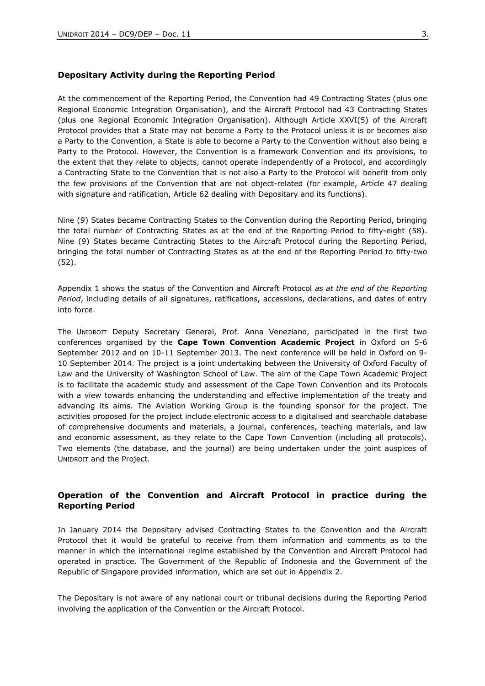## **Depositary Activity during the Reporting Period**

At the commencement of the Reporting Period, the Convention had 49 Contracting States (plus one Regional Economic Integration Organisation), and the Aircraft Protocol had 43 Contracting States (plus one Regional Economic Integration Organisation). Although Article XXVI(5) of the Aircraft Protocol provides that a State may not become a Party to the Protocol unless it is or becomes also a Party to the Convention, a State is able to become a Party to the Convention without also being a Party to the Protocol. However, the Convention is a framework Convention and its provisions, to the extent that they relate to objects, cannot operate independently of a Protocol, and accordingly a Contracting State to the Convention that is not also a Party to the Protocol will benefit from only the few provisions of the Convention that are not object-related (for example, Article 47 dealing with signature and ratification, Article 62 dealing with Depositary and its functions).

Nine (9) States became Contracting States to the Convention during the Reporting Period, bringing the total number of Contracting States as at the end of the Reporting Period to fifty-eight (58). Nine (9) States became Contracting States to the Aircraft Protocol during the Reporting Period, bringing the total number of Contracting States as at the end of the Reporting Period to fifty-two (52).

Appendix 1 shows the status of the Convention and Aircraft Protocol *as at the end of the Reporting Period*, including details of all signatures, ratifications, accessions, declarations, and dates of entry into force.

The UNIDROIT Deputy Secretary General, Prof. Anna Veneziano, participated in the first two conferences organised by the **Cape Town Convention Academic Project** in Oxford on 5-6 September 2012 and on 10-11 September 2013. The next conference will be held in Oxford on 9- 10 September 2014. The project is a joint undertaking between the University of Oxford Faculty of Law and the University of Washington School of Law. The aim of the Cape Town Academic Project is to facilitate the academic study and assessment of the Cape Town Convention and its Protocols with a view towards enhancing the understanding and effective implementation of the treaty and advancing its aims. The Aviation Working Group is the founding sponsor for the project. The activities proposed for the project include electronic access to a digitalised and searchable database of comprehensive documents and materials, a journal, conferences, teaching materials, and law and economic assessment, as they relate to the Cape Town Convention (including all protocols). Two elements (the database, and the journal) are being undertaken under the joint auspices of UNIDROIT and the Project.

# **Operation of the Convention and Aircraft Protocol in practice during the Reporting Period**

In January 2014 the Depositary advised Contracting States to the Convention and the Aircraft Protocol that it would be grateful to receive from them information and comments as to the manner in which the international regime established by the Convention and Aircraft Protocol had operated in practice. The Government of the Republic of Indonesia and the Government of the Republic of Singapore provided information, which are set out in Appendix 2.

The Depositary is not aware of any national court or tribunal decisions during the Reporting Period involving the application of the Convention or the Aircraft Protocol.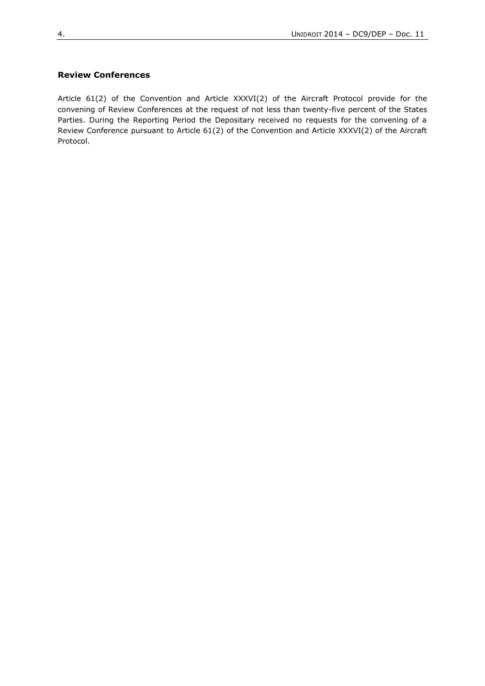# **Review Conferences**

Article 61(2) of the Convention and Article XXXVI(2) of the Aircraft Protocol provide for the convening of Review Conferences at the request of not less than twenty-five percent of the States Parties. During the Reporting Period the Depositary received no requests for the convening of a Review Conference pursuant to Article 61(2) of the Convention and Article XXXVI(2) of the Aircraft Protocol.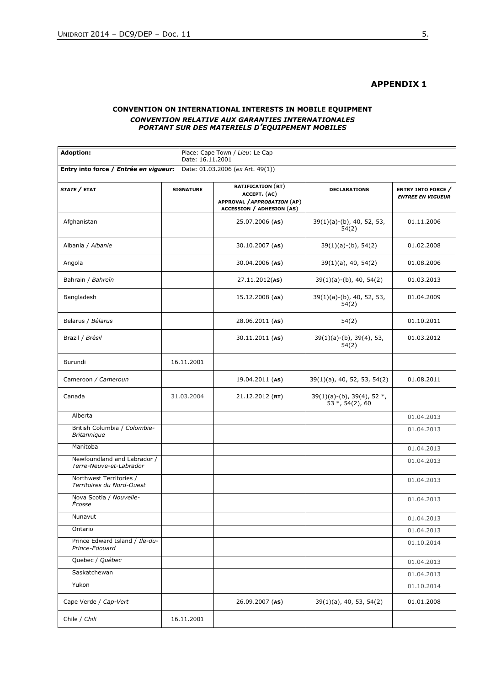# **APPENDIX 1**

## **CONVENTION ON INTERNATIONAL INTERESTS IN MOBILE EQUIPMENT** *CONVENTION RELATIVE AUX GARANTIES INTERNATIONALES PORTANT SUR DES MATERIELS D'EQUIPEMENT MOBILES*

| <b>Adoption:</b>                                       |  | Place: Cape Town / Lieu: Le Cap<br>Date: 16.11.2001 |                                                                                                             |                                                          |                                                       |  |
|--------------------------------------------------------|--|-----------------------------------------------------|-------------------------------------------------------------------------------------------------------------|----------------------------------------------------------|-------------------------------------------------------|--|
| Entry into force / Entrée en vigueur:                  |  | Date: 01.03.2006 (ex Art. 49(1))                    |                                                                                                             |                                                          |                                                       |  |
| STATE / ETAT                                           |  | <b>SIGNATURE</b>                                    | <b>RATIFICATION (RT)</b><br>ACCEPT. (AC)<br>APPROVAL / APPROBATION (AP)<br><b>ACCESSION / ADHESION (AS)</b> | <b>DECLARATIONS</b>                                      | <b>ENTRY INTO FORCE</b> /<br><b>ENTREE EN VIGUEUR</b> |  |
| Afghanistan                                            |  |                                                     | 25.07.2006 (AS)                                                                                             | $39(1)(a)-(b)$ , 40, 52, 53,<br>54(2)                    | 01.11.2006                                            |  |
| Albania / Albanie                                      |  |                                                     | $30.10.2007$ (AS)                                                                                           | $39(1)(a)-(b)$ , 54(2)                                   | 01.02.2008                                            |  |
| Angola                                                 |  |                                                     | 30.04.2006 (AS)                                                                                             | $39(1)(a)$ , 40, 54(2)                                   | 01.08.2006                                            |  |
| Bahrain / Bahreïn                                      |  |                                                     | 27.11.2012(AS)                                                                                              | $39(1)(a)-(b)$ , 40, 54(2)                               | 01.03.2013                                            |  |
| Bangladesh                                             |  |                                                     | $15.12.2008$ (AS)                                                                                           | $39(1)(a)-(b)$ , 40, 52, 53,<br>54(2)                    | 01.04.2009                                            |  |
| Belarus / Bélarus                                      |  |                                                     | 28.06.2011 (AS)                                                                                             | 54(2)                                                    | 01.10.2011                                            |  |
| Brazil / Brésil                                        |  |                                                     | 30.11.2011 (AS)                                                                                             | $39(1)(a)-(b)$ , $39(4)$ , 53,<br>54(2)                  | 01.03.2012                                            |  |
| Burundi                                                |  | 16.11.2001                                          |                                                                                                             |                                                          |                                                       |  |
| Cameroon / Cameroun                                    |  |                                                     | 19.04.2011 (AS)                                                                                             | 39(1)(a), 40, 52, 53, 54(2)                              | 01.08.2011                                            |  |
| Canada                                                 |  | 31.03.2004                                          | $21.12.2012$ (RT)                                                                                           | $39(1)(a)-(b)$ , $39(4)$ , 52 $*$ ,<br>$53 *, 54(2), 60$ |                                                       |  |
| Alberta                                                |  |                                                     |                                                                                                             |                                                          | 01.04.2013                                            |  |
| British Columbia / Colombie-<br><b>Britannique</b>     |  |                                                     |                                                                                                             |                                                          | 01.04.2013                                            |  |
| Manitoba                                               |  |                                                     |                                                                                                             |                                                          | 01.04.2013                                            |  |
| Newfoundland and Labrador /<br>Terre-Neuve-et-Labrador |  |                                                     |                                                                                                             |                                                          | 01.04.2013                                            |  |
| Northwest Territories /<br>Territoires du Nord-Ouest   |  |                                                     |                                                                                                             |                                                          | 01.04.2013                                            |  |
| Nova Scotia / Nouvelle-<br>Écosse                      |  |                                                     |                                                                                                             |                                                          | 01.04.2013                                            |  |
| Nunavut                                                |  |                                                     |                                                                                                             |                                                          | 01.04.2013                                            |  |
| Ontario                                                |  |                                                     |                                                                                                             |                                                          | 01.04.2013                                            |  |
| Prince Edward Island / Ile-du-<br>Prince-Edouard       |  |                                                     |                                                                                                             |                                                          | 01.10.2014                                            |  |
| Quebec / Québec                                        |  |                                                     |                                                                                                             |                                                          | 01.04.2013                                            |  |
| Saskatchewan                                           |  |                                                     |                                                                                                             |                                                          | 01.04.2013                                            |  |
| Yukon                                                  |  |                                                     |                                                                                                             |                                                          | 01.10.2014                                            |  |
| Cape Verde / Cap-Vert                                  |  |                                                     | 26.09.2007 (AS)                                                                                             | $39(1)(a)$ , 40, 53, 54(2)                               | 01.01.2008                                            |  |
| Chile / Chili                                          |  | 16.11.2001                                          |                                                                                                             |                                                          |                                                       |  |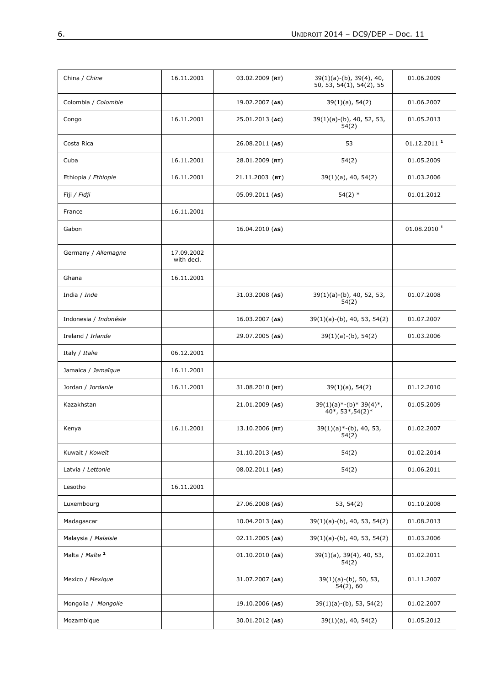| China / Chine              | 16.11.2001               | $03.02.2009$ (RT) | $39(1)(a)-(b)$ , $39(4)$ , 40,<br>50, 53, 54(1), 54(2), 55 | 01.06.2009              |
|----------------------------|--------------------------|-------------------|------------------------------------------------------------|-------------------------|
| Colombia / Colombie        |                          | 19.02.2007 (AS)   | $39(1)(a)$ , 54(2)                                         | 01.06.2007              |
| Congo                      | 16.11.2001               | 25.01.2013 (AC)   | $39(1)(a)-(b)$ , 40, 52, 53,<br>54(2)                      | 01.05.2013              |
| Costa Rica                 |                          | 26.08.2011 (AS)   | 53                                                         | 01.12.2011 <sup>1</sup> |
| Cuba                       | 16.11.2001               | 28.01.2009 (RT)   | 54(2)                                                      | 01.05.2009              |
| Ethiopia / Ethiopie        | 16.11.2001               | $21.11.2003$ (RT) | $39(1)(a)$ , 40, 54(2)                                     | 01.03.2006              |
| Fiji / <i>Fidji</i>        |                          | 05.09.2011 (AS)   | $54(2)$ *                                                  | 01.01.2012              |
| France                     | 16.11.2001               |                   |                                                            |                         |
| Gabon                      |                          | 16.04.2010 (AS)   |                                                            | 01.08.2010 <sup>1</sup> |
| Germany / Allemagne        | 17.09.2002<br>with decl. |                   |                                                            |                         |
| Ghana                      | 16.11.2001               |                   |                                                            |                         |
| India / Inde               |                          | 31.03.2008 (AS)   | 39(1)(a)-(b), 40, 52, 53,<br>54(2)                         | 01.07.2008              |
| Indonesia / Indonésie      |                          | $16.03.2007$ (AS) | 39(1)(a)-(b), 40, 53, 54(2)                                | 01.07.2007              |
| Ireland / Irlande          |                          | 29.07.2005 (AS)   | $39(1)(a)-(b)$ , 54(2)                                     | 01.03.2006              |
| Italy / Italie             | 06.12.2001               |                   |                                                            |                         |
| Jamaica / Jamaïque         | 16.11.2001               |                   |                                                            |                         |
| Jordan / Jordanie          | 16.11.2001               | $31.08.2010$ (RT) | $39(1)(a)$ , 54(2)                                         | 01.12.2010              |
| Kazakhstan                 |                          | 21.01.2009 (AS)   | $39(1)(a)*-(b)*39(4)*$ ,<br>40*, 53*, 54(2)*               | 01.05.2009              |
| Kenya                      | 16.11.2001               | $13.10.2006$ (RT) | $39(1)(a)$ *-(b), 40, 53,<br>54(2)                         | 01.02.2007              |
| Kuwait / Koweït            |                          | $31.10.2013$ (AS) | 54(2)                                                      | 01.02.2014              |
| Latvia / Lettonie          |                          | 08.02.2011 (AS)   | 54(2)                                                      | 01.06.2011              |
| Lesotho                    | 16.11.2001               |                   |                                                            |                         |
| Luxembourg                 |                          | 27.06.2008 (AS)   | 53, 54(2)                                                  | 01.10.2008              |
| Madagascar                 |                          | $10.04.2013$ (AS) | $39(1)(a)-(b)$ , 40, 53, 54(2)                             | 01.08.2013              |
| Malaysia / Malaisie        |                          | $02.11.2005$ (AS) | $39(1)(a)-(b)$ , 40, 53, 54(2)                             | 01.03.2006              |
| Malta / Malte <sup>2</sup> |                          | $01.10.2010$ (AS) | 39(1)(a), 39(4), 40, 53,<br>54(2)                          | 01.02.2011              |
| Mexico / Mexique           |                          | 31.07.2007 (AS)   | $39(1)(a)-(b)$ , 50, 53,<br>54(2), 60                      | 01.11.2007              |
| Mongolia / Mongolie        |                          | 19.10.2006 (AS)   | $39(1)(a)-(b)$ , 53, 54(2)                                 | 01.02.2007              |
| Mozambique                 |                          | 30.01.2012 (AS)   | $39(1)(a)$ , 40, 54(2)                                     | 01.05.2012              |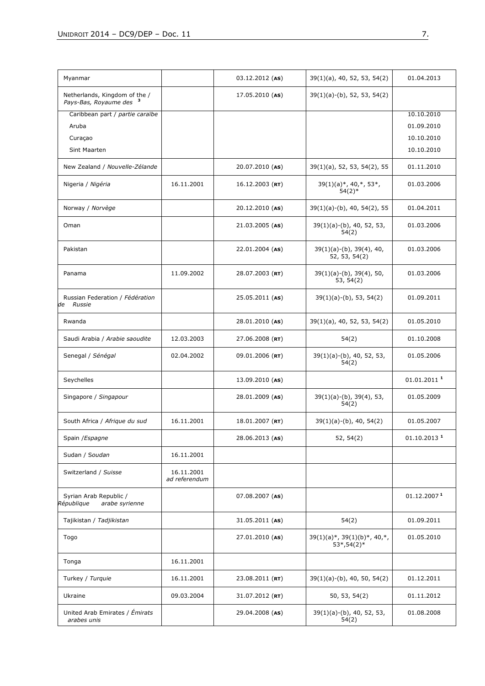| Myanmar                                                             |                             | $03.12.2012$ (AS) | $39(1)(a)$ , 40, 52, 53, 54(2)                        | 01.04.2013                |
|---------------------------------------------------------------------|-----------------------------|-------------------|-------------------------------------------------------|---------------------------|
| Netherlands, Kingdom of the /<br>Pays-Bas, Royaume des <sup>3</sup> |                             | $17.05.2010$ (AS) | $39(1)(a)-(b)$ , 52, 53, 54(2)                        |                           |
| Caribbean part / partie caraïbe                                     |                             |                   |                                                       | 10.10.2010                |
| Aruba                                                               |                             |                   |                                                       | 01.09.2010                |
| Curaçao                                                             |                             |                   |                                                       | 10.10.2010                |
| Sint Maarten                                                        |                             |                   |                                                       | 10.10.2010                |
| New Zealand / Nouvelle-Zélande                                      |                             | 20.07.2010 (AS)   | 39(1)(a), 52, 53, 54(2), 55                           | 01.11.2010                |
| Nigeria / Nigéria                                                   | 16.11.2001                  | $16.12.2003$ (RT) | $39(1)(a)*$ , 40,*, 53*,<br>$54(2)*$                  | 01.03.2006                |
| Norway / Norvège                                                    |                             | 20.12.2010 (AS)   | $39(1)(a)-(b)$ , 40, 54(2), 55                        | 01.04.2011                |
| Oman                                                                |                             | $21.03.2005$ (AS) | $39(1)(a)-(b)$ , 40, 52, 53,<br>54(2)                 | 01.03.2006                |
| Pakistan                                                            |                             | $22.01.2004$ (AS) | $39(1)(a)-(b)$ , $39(4)$ , 40,<br>52, 53, 54(2)       | 01.03.2006                |
| Panama                                                              | 11.09.2002                  | 28.07.2003 (RT)   | $39(1)(a)-(b)$ , $39(4)$ , 50,<br>53, 54(2)           | 01.03.2006                |
| Russian Federation / Fédération<br>Russie<br>de                     |                             | $25.05.2011$ (AS) | $39(1)(a)-(b)$ , 53, 54(2)                            | 01.09.2011                |
| Rwanda                                                              |                             | 28.01.2010 (AS)   | $39(1)(a)$ , 40, 52, 53, 54(2)                        | 01.05.2010                |
| Saudi Arabia / Arabie saoudite                                      | 12.03.2003                  | 27.06.2008 (RT)   | 54(2)                                                 | 01.10.2008                |
| Senegal / Sénégal                                                   | 02.04.2002                  | $09.01.2006$ (RT) | $39(1)(a)-(b)$ , 40, 52, 53,<br>54(2)                 | 01.05.2006                |
| Seychelles                                                          |                             | 13.09.2010 (AS)   |                                                       | $01.01.2011$ <sup>1</sup> |
| Singapore / Singapour                                               |                             | 28.01.2009 (AS)   | $39(1)(a)-(b)$ , $39(4)$ , 53,<br>54(2)               | 01.05.2009                |
| South Africa / Afrigue du sud                                       | 16.11.2001                  | 18.01.2007 (RT)   | $39(1)(a)-(b)$ , 40, 54(2)                            | 01.05.2007                |
| Spain / Espagne                                                     |                             | 28.06.2013 (AS)   | 52, 54(2)                                             | $01.10.2013$ <sup>1</sup> |
| Sudan / Soudan                                                      | 16.11.2001                  |                   |                                                       |                           |
| Switzerland / Suisse                                                | 16.11.2001<br>ad referendum |                   |                                                       |                           |
| Syrian Arab Republic /<br>République<br>arabe syrienne              |                             | $07.08.2007$ (AS) |                                                       | 01.12.2007 <sup>1</sup>   |
| Tajikistan / Tadjikistan                                            |                             | $31.05.2011$ (AS) | 54(2)                                                 | 01.09.2011                |
| Togo                                                                |                             | 27.01.2010 (AS)   | $39(1)(a)*$ , $39(1)(b)*$ , $40,*$ ,<br>$53*, 54(2)*$ | 01.05.2010                |
| Tonga                                                               | 16.11.2001                  |                   |                                                       |                           |
| Turkey / Turquie                                                    | 16.11.2001                  | 23.08.2011 (RT)   | $39(1)(a)-(b)$ , 40, 50, 54(2)                        | 01.12.2011                |
| Ukraine                                                             | 09.03.2004                  | $31.07.2012$ (RT) | 50, 53, 54(2)                                         | 01.11.2012                |
| United Arab Emirates / Émirats<br>arabes unis                       |                             | 29.04.2008 (AS)   | 39(1)(a)-(b), 40, 52, 53,<br>54(2)                    | 01.08.2008                |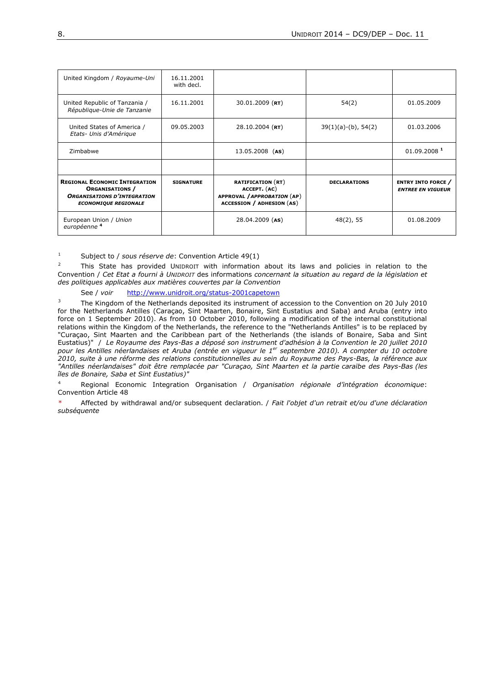| United Kingdom / Royaume-Uni                                                                                                        | 16.11.2001<br>with decl. |                                                                                                             |                        |                                                       |
|-------------------------------------------------------------------------------------------------------------------------------------|--------------------------|-------------------------------------------------------------------------------------------------------------|------------------------|-------------------------------------------------------|
| United Republic of Tanzania /<br>République-Unie de Tanzanie                                                                        | 16.11.2001               | $30.01.2009$ (RT)                                                                                           | 54(2)                  | 01.05.2009                                            |
| United States of America /<br>Etats- Unis d'Amérique                                                                                | 09.05.2003               | $28.10.2004$ (RT)                                                                                           | $39(1)(a)-(b)$ , 54(2) | 01.03.2006                                            |
| Zimbabwe                                                                                                                            |                          | 13.05.2008 (AS)                                                                                             |                        | 01.09.2008 1                                          |
|                                                                                                                                     |                          |                                                                                                             |                        |                                                       |
| <b>REGIONAL ECONOMIC INTEGRATION</b><br><b>ORGANISATIONS</b> /<br><b>ORGANISATIONS D'INTEGRATION</b><br><b>ECONOMIQUE REGIONALE</b> | <b>SIGNATURE</b>         | <b>RATIFICATION (RT)</b><br>ACCEPT. (AC)<br>APPROVAL / APPROBATION (AP)<br><b>ACCESSION / ADHESION (AS)</b> | <b>DECLARATIONS</b>    | <b>ENTRY INTO FORCE</b> /<br><b>ENTREE EN VIGUEUR</b> |
| European Union / Union<br>européenne <sup>4</sup>                                                                                   |                          | $28.04.2009$ (AS)                                                                                           | $48(2)$ , 55           | 01.08.2009                                            |

<sup>1</sup> Subject to / *sous réserve de*: Convention Article 49(1)

<sup>2</sup> This State has provided UNIDROIT with information about its laws and policies in relation to the Convention / *Cet Etat a fourni à UNIDROIT* des informations *concernant la situation au regard de la législation et des politiques applicables aux matières couvertes par la Convention*

See / *voir* <http://www.unidroit.org/status-2001capetown>

<sup>3</sup> The Kingdom of the Netherlands deposited its instrument of accession to the Convention on 20 July 2010 for the Netherlands Antilles (Caraçao, Sint Maarten, Bonaire, Sint Eustatius and Saba) and Aruba (entry into force on 1 September 2010). As from 10 October 2010, following a modification of the internal constitutional relations within the Kingdom of the Netherlands, the reference to the "Netherlands Antilles" is to be replaced by "Curaçao, Sint Maarten and the Caribbean part of the Netherlands (the islands of Bonaire, Saba and Sint Eustatius)" / *Le Royaume des Pays-Bas a déposé son instrument d'adhésion à la Convention le 20 juillet 2010 pour les Antilles néerlandaises et Aruba (entrée en vigueur le 1er septembre 2010). A compter du 10 octobre 2010, suite à une réforme des relations constitutionnelles au sein du Royaume des Pays-Bas, la référence aux "Antilles néerlandaises" doit être remplacée par "Curaçao, Sint Maarten et la partie caraïbe des Pays-Bas (les îles de Bonaire, Saba et Sint Eustatius)"*

<sup>4</sup> Regional Economic Integration Organisation / *Organisation régionale d'intégration économique*: Convention Article 48

\* Affected by withdrawal and/or subsequent declaration. / *Fait l'objet d'un retrait et/ou d'une déclaration subséquente*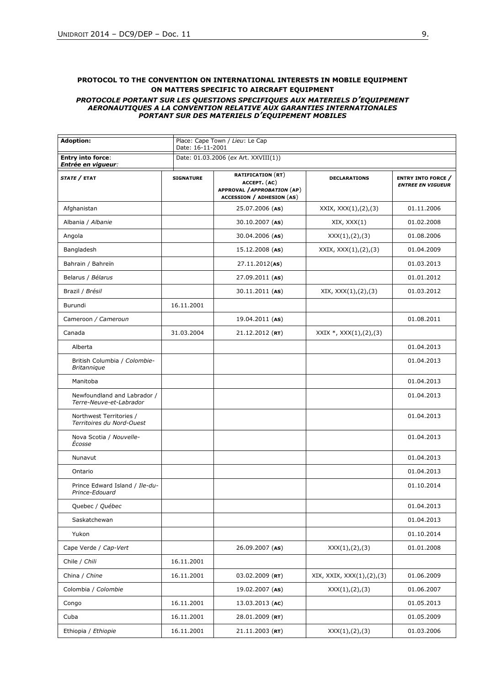#### **PROTOCOL TO THE CONVENTION ON INTERNATIONAL INTERESTS IN MOBILE EQUIPMENT ON MATTERS SPECIFIC TO AIRCRAFT EQUIPMENT** *PROTOCOLE PORTANT SUR LES QUESTIONS SPECIFIQUES AUX MATERIELS D'EQUIPEMENT AERONAUTIQUES A LA CONVENTION RELATIVE AUX GARANTIES INTERNATIONALES PORTANT SUR DES MATERIELS D'EQUIPEMENT MOBILES*

| <b>Adoption:</b>                                       | Place: Cape Town / Lieu: Le Cap<br>Date: 16-11-2001 |                                                                                                             |                            |                                                       |  |
|--------------------------------------------------------|-----------------------------------------------------|-------------------------------------------------------------------------------------------------------------|----------------------------|-------------------------------------------------------|--|
| <b>Entry into force:</b><br>Entrée en vigueur:         |                                                     | Date: 01.03.2006 (ex Art. XXVIII(1))                                                                        |                            |                                                       |  |
| STATE / ETAT                                           | <b>SIGNATURE</b>                                    | <b>RATIFICATION (RT)</b><br>ACCEPT. (AC)<br>APPROVAL / APPROBATION (AP)<br><b>ACCESSION / ADHESION (AS)</b> | <b>DECLARATIONS</b>        | <b>ENTRY INTO FORCE /</b><br><b>ENTREE EN VIGUEUR</b> |  |
| Afghanistan                                            |                                                     | 25.07.2006 (AS)                                                                                             | XXIX, XXX(1), (2), (3)     | 01.11.2006                                            |  |
| Albania / Albanie                                      |                                                     | 30.10.2007 (AS)                                                                                             | XIX, XXX(1)                | 01.02.2008                                            |  |
| Angola                                                 |                                                     | 30.04.2006 (AS)                                                                                             | XXX(1), (2), (3)           | 01.08.2006                                            |  |
| Bangladesh                                             |                                                     | $15.12.2008$ (AS)                                                                                           | XXIX, XXX(1), (2), (3)     | 01.04.2009                                            |  |
| Bahrain / Bahreïn                                      |                                                     | 27.11.2012(AS)                                                                                              |                            | 01.03.2013                                            |  |
| Belarus / Bélarus                                      |                                                     | 27.09.2011 (AS)                                                                                             |                            | 01.01.2012                                            |  |
| Brazil / Brésil                                        |                                                     | 30.11.2011 (AS)                                                                                             | XIX, XXX(1), (2), (3)      | 01.03.2012                                            |  |
| Burundi                                                | 16.11.2001                                          |                                                                                                             |                            |                                                       |  |
| Cameroon / Cameroun                                    |                                                     | 19.04.2011 (AS)                                                                                             |                            | 01.08.2011                                            |  |
| Canada                                                 | 31.03.2004                                          | $21.12.2012$ (RT)                                                                                           | $XXIX *, XXX(1), (2), (3)$ |                                                       |  |
| Alberta                                                |                                                     |                                                                                                             |                            | 01.04.2013                                            |  |
| British Columbia / Colombie-<br><b>Britannique</b>     |                                                     |                                                                                                             |                            | 01.04.2013                                            |  |
| Manitoba                                               |                                                     |                                                                                                             |                            | 01.04.2013                                            |  |
| Newfoundland and Labrador /<br>Terre-Neuve-et-Labrador |                                                     |                                                                                                             |                            | 01.04.2013                                            |  |
| Northwest Territories /<br>Territoires du Nord-Ouest   |                                                     |                                                                                                             |                            | 01.04.2013                                            |  |
| Nova Scotia / Nouvelle-<br>Écosse                      |                                                     |                                                                                                             |                            | 01.04.2013                                            |  |
| Nunavut                                                |                                                     |                                                                                                             |                            | 01.04.2013                                            |  |
| Ontario                                                |                                                     |                                                                                                             |                            | 01.04.2013                                            |  |
| Prince Edward Island / Ile-du-<br>Prince-Edouard       |                                                     |                                                                                                             |                            | 01.10.2014                                            |  |
| Quebec / Québec                                        |                                                     |                                                                                                             |                            | 01.04.2013                                            |  |
| Saskatchewan                                           |                                                     |                                                                                                             |                            | 01.04.2013                                            |  |
| Yukon                                                  |                                                     |                                                                                                             |                            | 01.10.2014                                            |  |
| Cape Verde / Cap-Vert                                  |                                                     | 26.09.2007 (AS)                                                                                             | XXX(1), (2), (3)           | 01.01.2008                                            |  |
| Chile / Chili                                          | 16.11.2001                                          |                                                                                                             |                            |                                                       |  |
| China / Chine                                          | 16.11.2001                                          | $03.02.2009$ (RT)                                                                                           | XIX, XXIX, XXX(1),(2),(3)  | 01.06.2009                                            |  |
| Colombia / Colombie                                    |                                                     | 19.02.2007 (AS)                                                                                             | XXX(1), (2), (3)           | 01.06.2007                                            |  |
| Congo                                                  | 16.11.2001                                          | 13.03.2013 (AC)                                                                                             |                            | 01.05.2013                                            |  |
| Cuba                                                   | 16.11.2001                                          | 28.01.2009 (RT)                                                                                             |                            | 01.05.2009                                            |  |
| Ethiopia / Ethiopie                                    | 16.11.2001                                          | $21.11.2003$ (RT)                                                                                           | XXX(1), (2), (3)           | 01.03.2006                                            |  |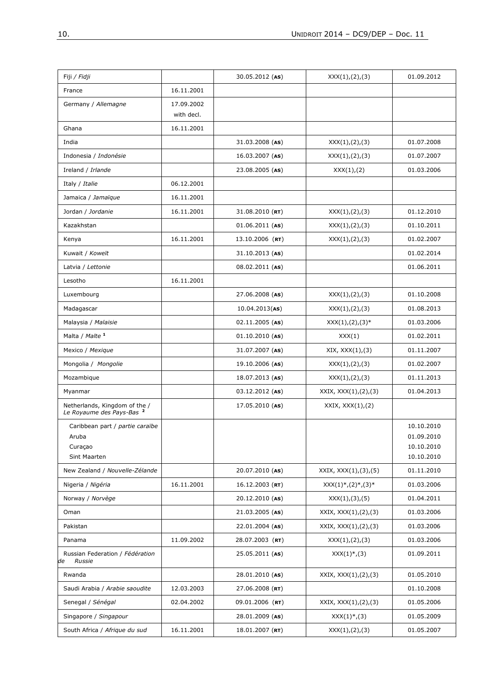| France<br>16.11.2001<br>Germany / Allemagne<br>17.09.2002<br>with decl.<br>16.11.2001<br>Ghana<br>India<br>31.03.2008 (AS)<br>01.07.2008<br>XXX(1), (2), (3)<br>Indonesia / Indonésie<br>$16.03.2007$ (AS)<br>01.07.2007<br>XXX(1), (2), (3)<br>Ireland / Irlande<br>23.08.2005 (AS)<br>XXX(1), (2)<br>01.03.2006<br>Italy / Italie<br>06.12.2001<br>Jamaica / Jamaïque<br>16.11.2001<br>Jordan / Jordanie<br>16.11.2001<br>$31.08.2010$ (RT)<br>XXX(1), (2), (3)<br>01.12.2010<br>Kazakhstan<br>$01.06.2011$ (AS)<br>XXX(1), (2), (3)<br>01.10.2011<br>16.11.2001<br>13.10.2006 (RT)<br>01.02.2007<br>Kenya<br>XXX(1), (2), (3)<br>Kuwait / Koweït<br>01.02.2014<br>$31.10.2013$ (AS)<br>Latvia / Lettonie<br>08.02.2011 (AS)<br>01.06.2011<br>16.11.2001<br>Lesotho<br>01.10.2008<br>Luxembourg<br>27.06.2008 (AS)<br>XXX(1), (2), (3)<br>01.08.2013<br>Madagascar<br>$10.04.2013($ AS)<br>XXX(1), (2), (3)<br>Malaysia / Malaisie<br>$02.11.2005$ (AS)<br>$XXX(1), (2), (3)*$<br>01.03.2006<br>Malta / Malte <sup>1</sup><br>$01.10.2010$ (AS)<br>XXX(1)<br>01.02.2011<br>Mexico / Mexique<br>31.07.2007 (AS)<br>XIX, XXX(1), (3)<br>01.11.2007<br>Mongolia / Mongolie<br>19.10.2006 (AS)<br>01.02.2007<br>XXX(1), (2), (3)<br>Mozambique<br>$18.07.2013$ (AS)<br>01.11.2013<br>XXX(1), (2), (3)<br>$03.12.2012$ (AS)<br>XXIX, XXX(1), (2), (3)<br>01.04.2013<br>Myanmar<br>Netherlands, Kingdom of the /<br>Le Royaume des Pays-Bas <sup>2</sup><br>$17.05.2010$ (AS)<br>XXIX, XXX(1),(2)<br>Caribbean part / partie caraïbe<br>10.10.2010<br>01.09.2010<br>Aruba<br>10.10.2010<br>Curaçao<br><b>Sint Maarten</b><br>10.10.2010<br>New Zealand / Nouvelle-Zélande<br>20.07.2010 (AS)<br>XXIX, XXX(1),(3),(5)<br>01.11.2010<br>Nigeria / Nigéria<br>16.11.2001<br>$16.12.2003$ (RT)<br>$XXX(1)^*, (2)^*, (3)^*$<br>01.03.2006<br>Norway / Norvège<br>20.12.2010 (AS)<br>01.04.2011<br>XXX(1), (3), (5)<br>21.03.2005 (AS)<br>XXIX, XXX(1), (2), (3)<br>01.03.2006<br>Oman<br>22.01.2004 (AS)<br>XXIX, XXX(1), (2), (3)<br>01.03.2006<br>Pakistan<br>11.09.2002<br>28.07.2003 (RT)<br>01.03.2006<br>Panama<br>XXX(1), (2), (3)<br>Russian Federation / Fédération<br>$25.05.2011$ (AS)<br>$XXX(1)^*, (3)$<br>01.09.2011<br><b>Russie</b><br>Rwanda<br>28.01.2010 (AS)<br>XXXIX, XXX(1), (2), (3)<br>01.05.2010<br>Saudi Arabia / Arabie saoudite<br>12.03.2003<br>$27.06.2008$ (RT)<br>01.10.2008<br>Senegal / Sénégal<br>02.04.2002<br>09.01.2006 (RT)<br>XXXIX, XXX(1), (2), (3)<br>01.05.2006<br>Singapore / Singapour<br>01.05.2009<br>28.01.2009 (AS)<br>$XXX(1)^*, (3)$<br>South Africa / Afrique du sud<br>16.11.2001<br>$18.01.2007$ (RT)<br>01.05.2007<br>XXX(1), (2), (3) | Fiji / Fidji | 30.05.2012 (AS) | XXX(1), (2), (3) | 01.09.2012 |
|---------------------------------------------------------------------------------------------------------------------------------------------------------------------------------------------------------------------------------------------------------------------------------------------------------------------------------------------------------------------------------------------------------------------------------------------------------------------------------------------------------------------------------------------------------------------------------------------------------------------------------------------------------------------------------------------------------------------------------------------------------------------------------------------------------------------------------------------------------------------------------------------------------------------------------------------------------------------------------------------------------------------------------------------------------------------------------------------------------------------------------------------------------------------------------------------------------------------------------------------------------------------------------------------------------------------------------------------------------------------------------------------------------------------------------------------------------------------------------------------------------------------------------------------------------------------------------------------------------------------------------------------------------------------------------------------------------------------------------------------------------------------------------------------------------------------------------------------------------------------------------------------------------------------------------------------------------------------------------------------------------------------------------------------------------------------------------------------------------------------------------------------------------------------------------------------------------------------------------------------------------------------------------------------------------------------------------------------------------------------------------------------------------------------------------------------------------------------------------------------------------------------------------------------------------------------------------------------------------------------------------------------------------------------------------------|--------------|-----------------|------------------|------------|
|                                                                                                                                                                                                                                                                                                                                                                                                                                                                                                                                                                                                                                                                                                                                                                                                                                                                                                                                                                                                                                                                                                                                                                                                                                                                                                                                                                                                                                                                                                                                                                                                                                                                                                                                                                                                                                                                                                                                                                                                                                                                                                                                                                                                                                                                                                                                                                                                                                                                                                                                                                                                                                                                                       |              |                 |                  |            |
|                                                                                                                                                                                                                                                                                                                                                                                                                                                                                                                                                                                                                                                                                                                                                                                                                                                                                                                                                                                                                                                                                                                                                                                                                                                                                                                                                                                                                                                                                                                                                                                                                                                                                                                                                                                                                                                                                                                                                                                                                                                                                                                                                                                                                                                                                                                                                                                                                                                                                                                                                                                                                                                                                       |              |                 |                  |            |
|                                                                                                                                                                                                                                                                                                                                                                                                                                                                                                                                                                                                                                                                                                                                                                                                                                                                                                                                                                                                                                                                                                                                                                                                                                                                                                                                                                                                                                                                                                                                                                                                                                                                                                                                                                                                                                                                                                                                                                                                                                                                                                                                                                                                                                                                                                                                                                                                                                                                                                                                                                                                                                                                                       |              |                 |                  |            |
|                                                                                                                                                                                                                                                                                                                                                                                                                                                                                                                                                                                                                                                                                                                                                                                                                                                                                                                                                                                                                                                                                                                                                                                                                                                                                                                                                                                                                                                                                                                                                                                                                                                                                                                                                                                                                                                                                                                                                                                                                                                                                                                                                                                                                                                                                                                                                                                                                                                                                                                                                                                                                                                                                       |              |                 |                  |            |
|                                                                                                                                                                                                                                                                                                                                                                                                                                                                                                                                                                                                                                                                                                                                                                                                                                                                                                                                                                                                                                                                                                                                                                                                                                                                                                                                                                                                                                                                                                                                                                                                                                                                                                                                                                                                                                                                                                                                                                                                                                                                                                                                                                                                                                                                                                                                                                                                                                                                                                                                                                                                                                                                                       |              |                 |                  |            |
|                                                                                                                                                                                                                                                                                                                                                                                                                                                                                                                                                                                                                                                                                                                                                                                                                                                                                                                                                                                                                                                                                                                                                                                                                                                                                                                                                                                                                                                                                                                                                                                                                                                                                                                                                                                                                                                                                                                                                                                                                                                                                                                                                                                                                                                                                                                                                                                                                                                                                                                                                                                                                                                                                       |              |                 |                  |            |
|                                                                                                                                                                                                                                                                                                                                                                                                                                                                                                                                                                                                                                                                                                                                                                                                                                                                                                                                                                                                                                                                                                                                                                                                                                                                                                                                                                                                                                                                                                                                                                                                                                                                                                                                                                                                                                                                                                                                                                                                                                                                                                                                                                                                                                                                                                                                                                                                                                                                                                                                                                                                                                                                                       |              |                 |                  |            |
|                                                                                                                                                                                                                                                                                                                                                                                                                                                                                                                                                                                                                                                                                                                                                                                                                                                                                                                                                                                                                                                                                                                                                                                                                                                                                                                                                                                                                                                                                                                                                                                                                                                                                                                                                                                                                                                                                                                                                                                                                                                                                                                                                                                                                                                                                                                                                                                                                                                                                                                                                                                                                                                                                       |              |                 |                  |            |
|                                                                                                                                                                                                                                                                                                                                                                                                                                                                                                                                                                                                                                                                                                                                                                                                                                                                                                                                                                                                                                                                                                                                                                                                                                                                                                                                                                                                                                                                                                                                                                                                                                                                                                                                                                                                                                                                                                                                                                                                                                                                                                                                                                                                                                                                                                                                                                                                                                                                                                                                                                                                                                                                                       |              |                 |                  |            |
|                                                                                                                                                                                                                                                                                                                                                                                                                                                                                                                                                                                                                                                                                                                                                                                                                                                                                                                                                                                                                                                                                                                                                                                                                                                                                                                                                                                                                                                                                                                                                                                                                                                                                                                                                                                                                                                                                                                                                                                                                                                                                                                                                                                                                                                                                                                                                                                                                                                                                                                                                                                                                                                                                       |              |                 |                  |            |
|                                                                                                                                                                                                                                                                                                                                                                                                                                                                                                                                                                                                                                                                                                                                                                                                                                                                                                                                                                                                                                                                                                                                                                                                                                                                                                                                                                                                                                                                                                                                                                                                                                                                                                                                                                                                                                                                                                                                                                                                                                                                                                                                                                                                                                                                                                                                                                                                                                                                                                                                                                                                                                                                                       |              |                 |                  |            |
|                                                                                                                                                                                                                                                                                                                                                                                                                                                                                                                                                                                                                                                                                                                                                                                                                                                                                                                                                                                                                                                                                                                                                                                                                                                                                                                                                                                                                                                                                                                                                                                                                                                                                                                                                                                                                                                                                                                                                                                                                                                                                                                                                                                                                                                                                                                                                                                                                                                                                                                                                                                                                                                                                       |              |                 |                  |            |
|                                                                                                                                                                                                                                                                                                                                                                                                                                                                                                                                                                                                                                                                                                                                                                                                                                                                                                                                                                                                                                                                                                                                                                                                                                                                                                                                                                                                                                                                                                                                                                                                                                                                                                                                                                                                                                                                                                                                                                                                                                                                                                                                                                                                                                                                                                                                                                                                                                                                                                                                                                                                                                                                                       |              |                 |                  |            |
|                                                                                                                                                                                                                                                                                                                                                                                                                                                                                                                                                                                                                                                                                                                                                                                                                                                                                                                                                                                                                                                                                                                                                                                                                                                                                                                                                                                                                                                                                                                                                                                                                                                                                                                                                                                                                                                                                                                                                                                                                                                                                                                                                                                                                                                                                                                                                                                                                                                                                                                                                                                                                                                                                       |              |                 |                  |            |
|                                                                                                                                                                                                                                                                                                                                                                                                                                                                                                                                                                                                                                                                                                                                                                                                                                                                                                                                                                                                                                                                                                                                                                                                                                                                                                                                                                                                                                                                                                                                                                                                                                                                                                                                                                                                                                                                                                                                                                                                                                                                                                                                                                                                                                                                                                                                                                                                                                                                                                                                                                                                                                                                                       |              |                 |                  |            |
|                                                                                                                                                                                                                                                                                                                                                                                                                                                                                                                                                                                                                                                                                                                                                                                                                                                                                                                                                                                                                                                                                                                                                                                                                                                                                                                                                                                                                                                                                                                                                                                                                                                                                                                                                                                                                                                                                                                                                                                                                                                                                                                                                                                                                                                                                                                                                                                                                                                                                                                                                                                                                                                                                       |              |                 |                  |            |
|                                                                                                                                                                                                                                                                                                                                                                                                                                                                                                                                                                                                                                                                                                                                                                                                                                                                                                                                                                                                                                                                                                                                                                                                                                                                                                                                                                                                                                                                                                                                                                                                                                                                                                                                                                                                                                                                                                                                                                                                                                                                                                                                                                                                                                                                                                                                                                                                                                                                                                                                                                                                                                                                                       |              |                 |                  |            |
|                                                                                                                                                                                                                                                                                                                                                                                                                                                                                                                                                                                                                                                                                                                                                                                                                                                                                                                                                                                                                                                                                                                                                                                                                                                                                                                                                                                                                                                                                                                                                                                                                                                                                                                                                                                                                                                                                                                                                                                                                                                                                                                                                                                                                                                                                                                                                                                                                                                                                                                                                                                                                                                                                       |              |                 |                  |            |
|                                                                                                                                                                                                                                                                                                                                                                                                                                                                                                                                                                                                                                                                                                                                                                                                                                                                                                                                                                                                                                                                                                                                                                                                                                                                                                                                                                                                                                                                                                                                                                                                                                                                                                                                                                                                                                                                                                                                                                                                                                                                                                                                                                                                                                                                                                                                                                                                                                                                                                                                                                                                                                                                                       |              |                 |                  |            |
|                                                                                                                                                                                                                                                                                                                                                                                                                                                                                                                                                                                                                                                                                                                                                                                                                                                                                                                                                                                                                                                                                                                                                                                                                                                                                                                                                                                                                                                                                                                                                                                                                                                                                                                                                                                                                                                                                                                                                                                                                                                                                                                                                                                                                                                                                                                                                                                                                                                                                                                                                                                                                                                                                       |              |                 |                  |            |
|                                                                                                                                                                                                                                                                                                                                                                                                                                                                                                                                                                                                                                                                                                                                                                                                                                                                                                                                                                                                                                                                                                                                                                                                                                                                                                                                                                                                                                                                                                                                                                                                                                                                                                                                                                                                                                                                                                                                                                                                                                                                                                                                                                                                                                                                                                                                                                                                                                                                                                                                                                                                                                                                                       |              |                 |                  |            |
|                                                                                                                                                                                                                                                                                                                                                                                                                                                                                                                                                                                                                                                                                                                                                                                                                                                                                                                                                                                                                                                                                                                                                                                                                                                                                                                                                                                                                                                                                                                                                                                                                                                                                                                                                                                                                                                                                                                                                                                                                                                                                                                                                                                                                                                                                                                                                                                                                                                                                                                                                                                                                                                                                       |              |                 |                  |            |
|                                                                                                                                                                                                                                                                                                                                                                                                                                                                                                                                                                                                                                                                                                                                                                                                                                                                                                                                                                                                                                                                                                                                                                                                                                                                                                                                                                                                                                                                                                                                                                                                                                                                                                                                                                                                                                                                                                                                                                                                                                                                                                                                                                                                                                                                                                                                                                                                                                                                                                                                                                                                                                                                                       |              |                 |                  |            |
|                                                                                                                                                                                                                                                                                                                                                                                                                                                                                                                                                                                                                                                                                                                                                                                                                                                                                                                                                                                                                                                                                                                                                                                                                                                                                                                                                                                                                                                                                                                                                                                                                                                                                                                                                                                                                                                                                                                                                                                                                                                                                                                                                                                                                                                                                                                                                                                                                                                                                                                                                                                                                                                                                       |              |                 |                  |            |
|                                                                                                                                                                                                                                                                                                                                                                                                                                                                                                                                                                                                                                                                                                                                                                                                                                                                                                                                                                                                                                                                                                                                                                                                                                                                                                                                                                                                                                                                                                                                                                                                                                                                                                                                                                                                                                                                                                                                                                                                                                                                                                                                                                                                                                                                                                                                                                                                                                                                                                                                                                                                                                                                                       |              |                 |                  |            |
|                                                                                                                                                                                                                                                                                                                                                                                                                                                                                                                                                                                                                                                                                                                                                                                                                                                                                                                                                                                                                                                                                                                                                                                                                                                                                                                                                                                                                                                                                                                                                                                                                                                                                                                                                                                                                                                                                                                                                                                                                                                                                                                                                                                                                                                                                                                                                                                                                                                                                                                                                                                                                                                                                       |              |                 |                  |            |
|                                                                                                                                                                                                                                                                                                                                                                                                                                                                                                                                                                                                                                                                                                                                                                                                                                                                                                                                                                                                                                                                                                                                                                                                                                                                                                                                                                                                                                                                                                                                                                                                                                                                                                                                                                                                                                                                                                                                                                                                                                                                                                                                                                                                                                                                                                                                                                                                                                                                                                                                                                                                                                                                                       |              |                 |                  |            |
|                                                                                                                                                                                                                                                                                                                                                                                                                                                                                                                                                                                                                                                                                                                                                                                                                                                                                                                                                                                                                                                                                                                                                                                                                                                                                                                                                                                                                                                                                                                                                                                                                                                                                                                                                                                                                                                                                                                                                                                                                                                                                                                                                                                                                                                                                                                                                                                                                                                                                                                                                                                                                                                                                       |              |                 |                  |            |
|                                                                                                                                                                                                                                                                                                                                                                                                                                                                                                                                                                                                                                                                                                                                                                                                                                                                                                                                                                                                                                                                                                                                                                                                                                                                                                                                                                                                                                                                                                                                                                                                                                                                                                                                                                                                                                                                                                                                                                                                                                                                                                                                                                                                                                                                                                                                                                                                                                                                                                                                                                                                                                                                                       |              |                 |                  |            |
|                                                                                                                                                                                                                                                                                                                                                                                                                                                                                                                                                                                                                                                                                                                                                                                                                                                                                                                                                                                                                                                                                                                                                                                                                                                                                                                                                                                                                                                                                                                                                                                                                                                                                                                                                                                                                                                                                                                                                                                                                                                                                                                                                                                                                                                                                                                                                                                                                                                                                                                                                                                                                                                                                       |              |                 |                  |            |
|                                                                                                                                                                                                                                                                                                                                                                                                                                                                                                                                                                                                                                                                                                                                                                                                                                                                                                                                                                                                                                                                                                                                                                                                                                                                                                                                                                                                                                                                                                                                                                                                                                                                                                                                                                                                                                                                                                                                                                                                                                                                                                                                                                                                                                                                                                                                                                                                                                                                                                                                                                                                                                                                                       |              |                 |                  |            |
|                                                                                                                                                                                                                                                                                                                                                                                                                                                                                                                                                                                                                                                                                                                                                                                                                                                                                                                                                                                                                                                                                                                                                                                                                                                                                                                                                                                                                                                                                                                                                                                                                                                                                                                                                                                                                                                                                                                                                                                                                                                                                                                                                                                                                                                                                                                                                                                                                                                                                                                                                                                                                                                                                       |              |                 |                  |            |
|                                                                                                                                                                                                                                                                                                                                                                                                                                                                                                                                                                                                                                                                                                                                                                                                                                                                                                                                                                                                                                                                                                                                                                                                                                                                                                                                                                                                                                                                                                                                                                                                                                                                                                                                                                                                                                                                                                                                                                                                                                                                                                                                                                                                                                                                                                                                                                                                                                                                                                                                                                                                                                                                                       |              |                 |                  |            |
|                                                                                                                                                                                                                                                                                                                                                                                                                                                                                                                                                                                                                                                                                                                                                                                                                                                                                                                                                                                                                                                                                                                                                                                                                                                                                                                                                                                                                                                                                                                                                                                                                                                                                                                                                                                                                                                                                                                                                                                                                                                                                                                                                                                                                                                                                                                                                                                                                                                                                                                                                                                                                                                                                       | de           |                 |                  |            |
|                                                                                                                                                                                                                                                                                                                                                                                                                                                                                                                                                                                                                                                                                                                                                                                                                                                                                                                                                                                                                                                                                                                                                                                                                                                                                                                                                                                                                                                                                                                                                                                                                                                                                                                                                                                                                                                                                                                                                                                                                                                                                                                                                                                                                                                                                                                                                                                                                                                                                                                                                                                                                                                                                       |              |                 |                  |            |
|                                                                                                                                                                                                                                                                                                                                                                                                                                                                                                                                                                                                                                                                                                                                                                                                                                                                                                                                                                                                                                                                                                                                                                                                                                                                                                                                                                                                                                                                                                                                                                                                                                                                                                                                                                                                                                                                                                                                                                                                                                                                                                                                                                                                                                                                                                                                                                                                                                                                                                                                                                                                                                                                                       |              |                 |                  |            |
|                                                                                                                                                                                                                                                                                                                                                                                                                                                                                                                                                                                                                                                                                                                                                                                                                                                                                                                                                                                                                                                                                                                                                                                                                                                                                                                                                                                                                                                                                                                                                                                                                                                                                                                                                                                                                                                                                                                                                                                                                                                                                                                                                                                                                                                                                                                                                                                                                                                                                                                                                                                                                                                                                       |              |                 |                  |            |
|                                                                                                                                                                                                                                                                                                                                                                                                                                                                                                                                                                                                                                                                                                                                                                                                                                                                                                                                                                                                                                                                                                                                                                                                                                                                                                                                                                                                                                                                                                                                                                                                                                                                                                                                                                                                                                                                                                                                                                                                                                                                                                                                                                                                                                                                                                                                                                                                                                                                                                                                                                                                                                                                                       |              |                 |                  |            |
|                                                                                                                                                                                                                                                                                                                                                                                                                                                                                                                                                                                                                                                                                                                                                                                                                                                                                                                                                                                                                                                                                                                                                                                                                                                                                                                                                                                                                                                                                                                                                                                                                                                                                                                                                                                                                                                                                                                                                                                                                                                                                                                                                                                                                                                                                                                                                                                                                                                                                                                                                                                                                                                                                       |              |                 |                  |            |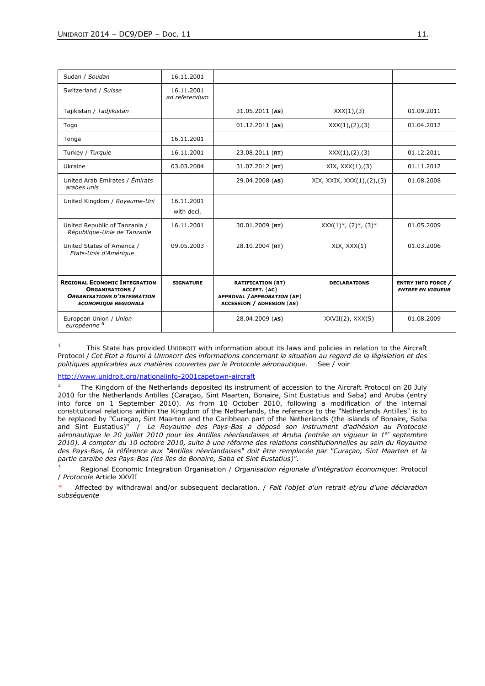| Sudan / Soudan                                                                                                                      | 16.11.2001                  |                                                                                                             |                              |                                                     |
|-------------------------------------------------------------------------------------------------------------------------------------|-----------------------------|-------------------------------------------------------------------------------------------------------------|------------------------------|-----------------------------------------------------|
| Switzerland / Suisse                                                                                                                | 16.11.2001<br>ad referendum |                                                                                                             |                              |                                                     |
| Tajikistan / Tadjikistan                                                                                                            |                             | $31.05.2011$ (AS)                                                                                           | XXX(1),(3)                   | 01.09.2011                                          |
| Togo                                                                                                                                |                             | $01.12.2011$ (AS)                                                                                           | XXX(1), (2), (3)             | 01.04.2012                                          |
| Tonga                                                                                                                               | 16.11.2001                  |                                                                                                             |                              |                                                     |
| Turkey / Turquie                                                                                                                    | 16.11.2001                  | $23.08.2011$ (RT)                                                                                           | XXX(1), (2), (3)             | 01.12.2011                                          |
| Ukraine                                                                                                                             | 03.03.2004                  | $31.07.2012$ (RT)                                                                                           | XIX, XXX(1), (3)             | 01.11.2012                                          |
| United Arab Emirates / Émirats<br>arabes unis                                                                                       |                             | 29.04.2008 (AS)                                                                                             | XIX, XXXIX, XXX(1), (2), (3) | 01.08.2008                                          |
| United Kingdom / Royaume-Uni                                                                                                        | 16.11.2001<br>with decl.    |                                                                                                             |                              |                                                     |
| United Republic of Tanzania /<br>République-Unie de Tanzanie                                                                        | 16.11.2001                  | $30.01.2009$ (RT)                                                                                           | $XXX(1)^*, (2)^*, (3)^*$     | 01.05.2009                                          |
| United States of America /<br>Etats-Unis d'Amérique                                                                                 | 09.05.2003                  | $28.10.2004$ (RT)                                                                                           | XIX, XXX(1)                  | 01.03.2006                                          |
|                                                                                                                                     |                             |                                                                                                             |                              |                                                     |
| <b>REGIONAL ECONOMIC INTEGRATION</b><br><b>ORGANISATIONS /</b><br><b>ORGANISATIONS D'INTEGRATION</b><br><b>ECONOMIQUE REGIONALE</b> | <b>SIGNATURE</b>            | <b>RATIFICATION (RT)</b><br>ACCEPT. (AC)<br>APPROVAL / APPROBATION (AP)<br><b>ACCESSION / ADHESION (AS)</b> | <b>DECLARATIONS</b>          | <b>ENTRY INTO FORCE</b><br><b>ENTREE EN VIGUEUR</b> |
| European Union / Union<br>européenne <sup>3</sup>                                                                                   |                             | 28.04.2009 (AS)                                                                                             | $XXVII(2)$ , $XXX(5)$        | 01.08.2009                                          |

1 This State has provided UNIDROIT with information about its laws and policies in relation to the Aircraft Protocol / *Cet Etat a fourni à UNIDROIT des informations concernant la situation au regard de la législation et des politiques applicables aux matières couvertes par le Protocole aéronautique*. See / voir

<http://www.unidroit.org/nationalinfo-2001capetown-aircraft>

<sup>2</sup> The Kingdom of the Netherlands deposited its instrument of accession to the Aircraft Protocol on 20 July 2010 for the Netherlands Antilles (Caraçao, Sint Maarten, Bonaire, Sint Eustatius and Saba) and Aruba (entry into force on 1 September 2010). As from 10 October 2010, following a modification of the internal constitutional relations within the Kingdom of the Netherlands, the reference to the "Netherlands Antilles" is to be replaced by "Curaçao, Sint Maarten and the Caribbean part of the Netherlands (the islands of Bonaire, Saba and Sint Eustatius)" / *Le Royaume des Pays-Bas a déposé son instrument d'adhésion au Protocole aéronautique le 20 juillet 2010 pour les Antilles néerlandaises et Aruba (entrée en vigueur le 1er septembre 2010). A compter du 10 octobre 2010, suite à une réforme des relations constitutionnelles au sein du Royaume des Pays-Bas, la référence aux "Antilles néerlandaises" doit être remplacée par "Curaçao, Sint Maarten et la partie caraïbe des Pays-Bas (les îles de Bonaire, Saba et Sint Eustatius)".*

<sup>3</sup> Regional Economic Integration Organisation / *Organisation régionale d'intégration économique*: Protocol / *Protocole* Article XXVII

\* Affected by withdrawal and/or subsequent declaration. / *Fait l'objet d'un retrait et/ou d'une déclaration subséquente*